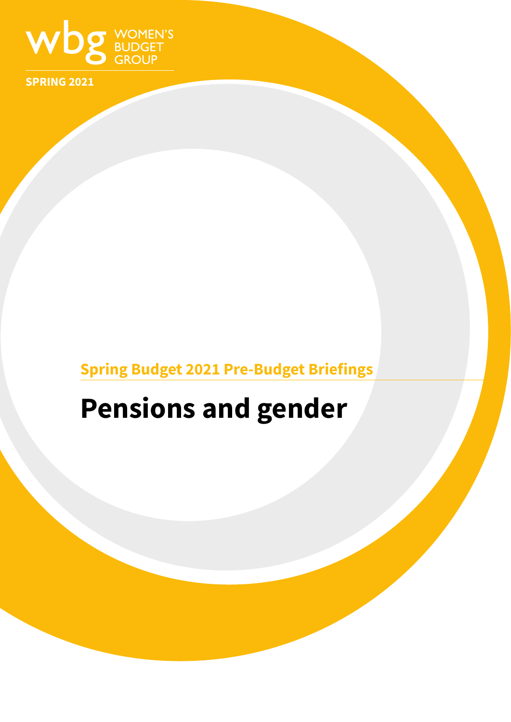

**SPRING 2021**

## **Spring Budget 2021 Pre-Budget Briefings**

# **Pensions and gender**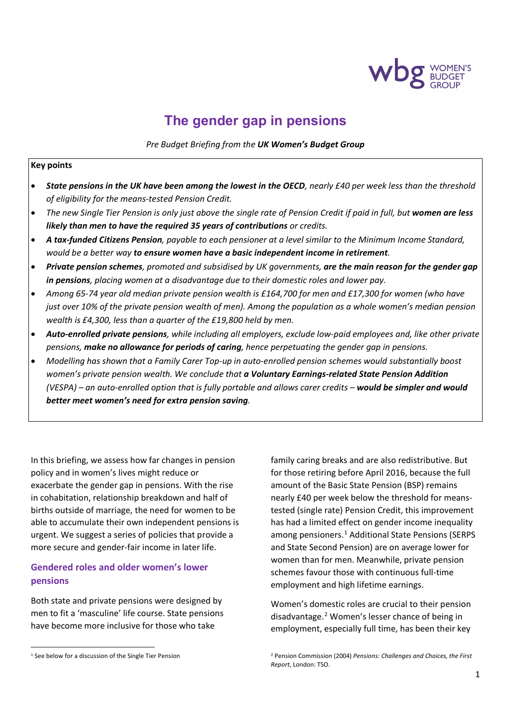

### **The gender gap in pensions**

*Pre Budget Briefing from the UK Women's Budget Group*

#### **Key points**

- *State pensions in the UK have been among the lowest in the OECD, nearly £40 per week less than the threshold of eligibility for the means-tested Pension Credit.*
- The new Single Tier Pension is only just above the single rate of Pension Credit if paid in full, but **women are less** *likely than men to have the required 35 years of contributions or credits.*
- *A tax-funded Citizens Pension, payable to each pensioner at a level similar to the Minimum Income Standard, would be a better way to ensure women have a basic independent income in retirement.*
- *Private pension schemes, promoted and subsidised by UK governments, are the main reason for the gender gap in pensions, placing women at a disadvantage due to their domestic roles and lower pay.*
- *Among 65-74 year old median private pension wealth is £164,700 for men and £17,300 for women (who have just over 10% of the private pension wealth of men). Among the population as a whole women's median pension wealth is £4,300, less than a quarter of the £19,800 held by men.*
- *Auto-enrolled private pensions, while including all employers, exclude low-paid employees and, like other private pensions, make no allowance for periods of caring, hence perpetuating the gender gap in pensions.*
- *Modelling has shown that a Family Carer Top-up in auto-enrolled pension schemes would substantially boost women's private pension wealth. We conclude that a Voluntary Earnings-related State Pension Addition (VESPA) – an auto-enrolled option that is fully portable and allows carer credits – would be simpler and would better meet women's need for extra pension saving.*

In this briefing, we assess how far changes in pension policy and in women's lives might reduce or exacerbate the gender gap in pensions. With the rise in cohabitation, relationship breakdown and half of births outside of marriage, the need for women to be able to accumulate their own independent pensions is urgent. We suggest a series of policies that provide a more secure and gender-fair income in later life.

#### **Gendered roles and older women's lower pensions**

Both state and private pensions were designed by men to fit a 'masculine' life course. State pensions have become more inclusive for those who take

family caring breaks and are also redistributive. But for those retiring before April 2016, because the full amount of the Basic State Pension (BSP) remains nearly £40 per week below the threshold for meanstested (single rate) Pension Credit, this improvement has had a limited effect on gender income inequality among pensioners. [1](#page-1-0) Additional State Pensions (SERPS and State Second Pension) are on average lower for women than for men. Meanwhile, private pension schemes favour those with continuous full-time employment and high lifetime earnings.

Women's domestic roles are crucial to their pension disadvantage.[2](#page-1-0) Women's lesser chance of being in employment, especially full time, has been their key

<span id="page-1-0"></span><sup>&</sup>lt;sup>1</sup> See below for a discussion of the Single Tier Pension

<sup>2</sup> Pension Commission (2004) *Pensions: Challenges and Choices, the First Report*, London: TSO.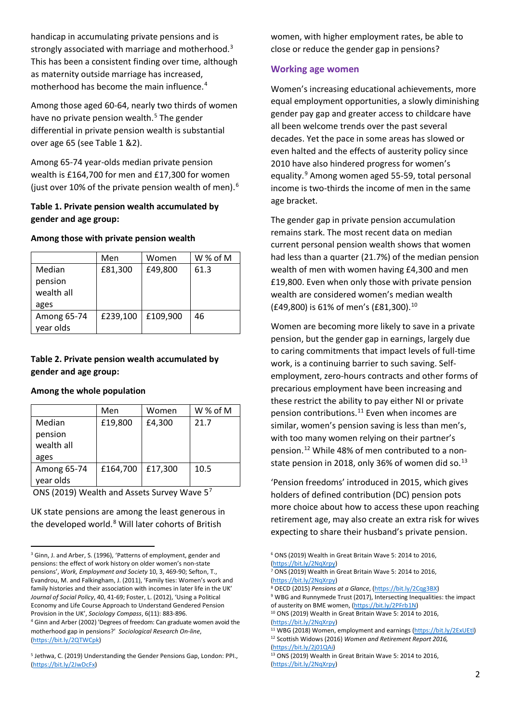handicap in accumulating private pensions and is strongly associated with marriage and motherhood.<sup>[3](#page-2-0)</sup> This has been a consistent finding over time, although as maternity outside marriage has increased, motherhood has become the main influence. [4](#page-2-1)

Among those aged 60-64, nearly two thirds of women have no private pension wealth.<sup>[5](#page-2-2)</sup> The gender differential in private pension wealth is substantial over age 65 (see Table 1 &2).

Among 65-74 year-olds median private pension wealth is £164,700 for men and £17,300 for women (just over 10% of the private pension wealth of men).[6](#page-2-0)

#### **Table 1. Private pension wealth accumulated by gender and age group:**

#### **Among those with private pension wealth**

|                                 | Men      | Women    | W % of M |
|---------------------------------|----------|----------|----------|
| Median<br>pension<br>wealth all | £81,300  | £49,800  | 61.3     |
| ages                            |          |          |          |
| Among 65-74<br>year olds        | £239,100 | £109,900 | 46       |

#### **Table 2. Private pension wealth accumulated by gender and age group:**

#### **Among the whole population**

|             | Men      | Women   | W % of M |
|-------------|----------|---------|----------|
| Median      | £19,800  | £4,300  | 21.7     |
| pension     |          |         |          |
| wealth all  |          |         |          |
| ages        |          |         |          |
| Among 65-74 | £164,700 | £17,300 | 10.5     |
| year olds   |          |         |          |

ONS (2019) Wealth and Assets Survey Wave 5[7](#page-2-3)

UK state pensions are among the least generous in the developed world.<sup>[8](#page-2-4)</sup> Will later cohorts of British

<span id="page-2-8"></span><span id="page-2-7"></span><span id="page-2-6"></span><span id="page-2-5"></span><span id="page-2-1"></span><sup>4</sup> Ginn and Arber (2002) 'Degrees of freedom: Can graduate women avoid the motherhood gap in pensions?' *Sociological Research On-line*, [\(https://bit.ly/2QTWCpk\)](https://bit.ly/2QTWCpk)

women, with higher employment rates, be able to close or reduce the gender gap in pensions?

#### **Working age women**

Women's increasing educational achievements, more equal employment opportunities, a slowly diminishing gender pay gap and greater access to childcare have all been welcome trends over the past several decades. Yet the pace in some areas has slowed or even halted and the effects of austerity policy since 2010 have also hindered progress for women's equality.<sup>[9](#page-2-5)</sup> Among women aged 55-59, total personal income is two-thirds the income of men in the same age bracket.

The gender gap in private pension accumulation remains stark. The most recent data on median current personal pension wealth shows that women had less than a quarter (21.7%) of the median pension wealth of men with women having £4,300 and men £19,800. Even when only those with private pension wealth are considered women's median wealth (£49,800) is 61% of men's (£81,300).[10](#page-2-6)

Women are becoming more likely to save in a private pension, but the gender gap in earnings, largely due to caring commitments that impact levels of full-time work, is a continuing barrier to such saving. Selfemployment, zero-hours contracts and other forms of precarious employment have been increasing and these restrict the ability to pay either NI or private pension contributions.<sup>[11](#page-2-7)</sup> Even when incomes are similar, women's pension saving is less than men's, with too many women relying on their partner's pension.[12](#page-2-8) While 48% of men contributed to a nonstate pension in 2018, only 36% of women did so. $^{13}$  $^{13}$  $^{13}$ 

'Pension freedoms' introduced in 2015, which gives holders of defined contribution (DC) pension pots more choice about how to access these upon reaching retirement age, may also create an extra risk for wives expecting to share their husband's private pension.

<sup>6</sup> ONS (2019) Wealth in Great Britain Wave 5: 2014 to 2016, [\(https://bit.ly/2NqXrpy\)](https://bit.ly/2NqXrpy)

<sup>8</sup> OECD (2015) *Pensions at a Glance*, (https://bit.ly/2Cqg3BX)<br><sup>9</sup> WBG and Runnymede Trust (2017), Intersecting Inequalities: the impact

<span id="page-2-4"></span><span id="page-2-3"></span><span id="page-2-0"></span><sup>&</sup>lt;sup>3</sup> Ginn, J. and Arber, S. (1996), 'Patterns of employment, gender and pensions: the effect of work history on older women's non-state pensions', *Work, Employment and Society* 10, 3, 469-90; Sefton, T., Evandrou, M. and Falkingham, J. (2011), 'Family ties: Women's work and family histories and their association with incomes in later life in the UK' *Journal of Social Policy*, 40, 41-69; Foster, L. (2012), 'Using a Political Economy and Life Course Approach to Understand Gendered Pension Provision in the UK', *Sociology Compass*, 6(11): 883-896.

<span id="page-2-2"></span><sup>5</sup> Jethwa, C. (2019) Understanding the Gender Pensions Gap, London: PPI., [\(https://bit.ly/2JwDcFx\)](https://bit.ly/2JwDcFx)

<sup>7</sup> ONS (2019) Wealth in Great Britain Wave 5: 2014 to 2016, [\(https://bit.ly/2NqXrpy\)](https://bit.ly/2NqXrpy)

of austerity on BME women, [\(https://bit.ly/2PFrb1N\)](https://bit.ly/2PFrb1N)<br><sup>10</sup> ONS (2019) Wealth in Great Britain Wave 5: 2014 to 2016,

[<sup>\(</sup>https://bit.ly/2NqXrpy\)](https://bit.ly/2NqXrpy) <sup>11</sup> WBG (2018) Women, employment and earnings [\(https://bit.ly/2ExUEtl\)](https://bit.ly/2ExUEtl) 12 Scottish Widows (2016) *Women and Retirement Report 2016,* 

[<sup>\(</sup>https://bit.ly/2j01QAi\)](https://bit.ly/2j01QAi) <sup>13</sup> ONS (2019) Wealth in Great Britain Wave 5: 2014 to 2016, [\(https://bit.ly/2NqXrpy\)](https://bit.ly/2NqXrpy)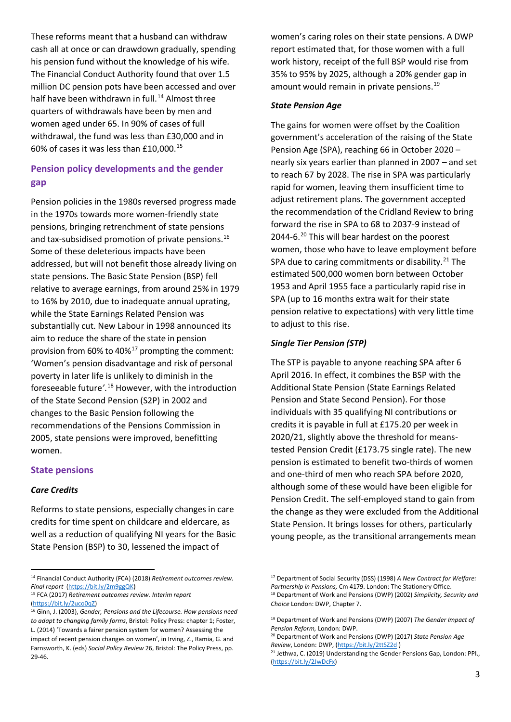These reforms meant that a husband can withdraw cash all at once or can drawdown gradually, spending his pension fund without the knowledge of his wife. The Financial Conduct Authority found that over 1.5 million DC pension pots have been accessed and over half have been withdrawn in full.<sup>[14](#page-3-0)</sup> Almost three quarters of withdrawals have been by men and women aged under 65. In 90% of cases of full withdrawal, the fund was less than £30,000 and in 60% of cases it was less than £10,000.[15](#page-3-1)

#### **Pension policy developments and the gender gap**

Pension policies in the 1980s reversed progress made in the 1970s towards more women-friendly state pensions, bringing retrenchment of state pensions and tax-subsidised promotion of private pensions.<sup>16</sup> Some of these deleterious impacts have been addressed, but will not benefit those already living on state pensions. The Basic State Pension (BSP) fell relative to average earnings, from around 25% in 1979 to 16% by 2010, due to inadequate annual uprating, while the State Earnings Related Pension was substantially cut. New Labour in 1998 announced its aim to reduce the share of the state in pension provision from  $60\%$  to  $40\%$ <sup>[17](#page-3-0)</sup> prompting the comment: 'Women's pension disadvantage and risk of personal poverty in later life is unlikely to diminish in the foreseeable future*'*. [18](#page-3-1) However, with the introduction of the State Second Pension (S2P) in 2002 and changes to the Basic Pension following the recommendations of the Pensions Commission in 2005, state pensions were improved, benefitting women.

#### **State pensions**

#### *Care Credits*

Reforms to state pensions, especially changes in care credits for time spent on childcare and eldercare, as well as a reduction of qualifying NI years for the Basic State Pension (BSP) to 30, lessened the impact of

women's caring roles on their state pensions. A DWP report estimated that, for those women with a full work history, receipt of the full BSP would rise from 35% to 95% by 2025, although a 20% gender gap in amount would remain in private pensions.<sup>[19](#page-3-3)</sup>

#### *State Pension Age*

The gains for women were offset by the Coalition government's acceleration of the raising of the State Pension Age (SPA), reaching 66 in October 2020 – nearly six years earlier than planned in 2007 – and set to reach 67 by 2028. The rise in SPA was particularly rapid for women, leaving them insufficient time to adjust retirement plans. The government accepted the recommendation of the Cridland Review to bring forward the rise in SPA to 68 to 2037-9 instead of [20](#page-3-4)44-6. $20$  This will bear hardest on the poorest women, those who have to leave employment before SPA due to caring commitments or disability.<sup>[21](#page-3-5)</sup> The estimated 500,000 women born between October 1953 and April 1955 face a particularly rapid rise in SPA (up to 16 months extra wait for their state pension relative to expectations) with very little time to adjust to this rise.

#### *Single Tier Pension (STP)*

The STP is payable to anyone reaching SPA after 6 April 2016. In effect, it combines the BSP with the Additional State Pension (State Earnings Related Pension and State Second Pension). For those individuals with 35 qualifying NI contributions or credits it is payable in full at £175.20 per week in 2020/21, slightly above the threshold for meanstested Pension Credit (£173.75 single rate). The new pension is estimated to benefit two-thirds of women and one-third of men who reach SPA before 2020, although some of these would have been eligible for Pension Credit. The self-employed stand to gain from the change as they were excluded from the Additional State Pension. It brings losses for others, particularly young people, as the transitional arrangements mean

<span id="page-3-0"></span><sup>14</sup> Financial Conduct Authority (FCA) (2018) *Retirement outcomes review. Final report* [\(https://bit.ly/2m9ggQK\)](https://bit.ly/2m9ggQK)

<span id="page-3-1"></span><sup>15</sup> FCA (2017) *Retirement outcomes review. Interim report* [\(https://bit.ly/2uco0qZ\)](https://bit.ly/2uco0qZ)

<span id="page-3-5"></span><span id="page-3-4"></span><span id="page-3-3"></span><span id="page-3-2"></span><sup>16</sup> Ginn, J. (2003), *Gender, Pensions and the Lifecourse. How pensions need to adapt to changing family forms*, Bristol: Policy Press: chapter 1; Foster, L. (2014) 'Towards a fairer pension system for women? Assessing the impact of recent pension changes on women', in Irving, Z., Ramia, G. and Farnsworth, K. (eds) *Social Policy Review* 26, Bristol: The Policy Press, pp. 29-46.

<sup>17</sup> Department of Social Security (DSS) (1998) *A New Contract for Welfare: Partnership in Pensions,* Cm 4179. London: The Stationery Office. <sup>18</sup> Department of Work and Pensions (DWP) (2002) *Simplicity, Security and Choice* London: DWP, Chapter 7.

<sup>19</sup> Department of Work and Pensions (DWP) (2007) *The Gender Impact of Pension Reform,* London: DWP.

<sup>20</sup> Department of Work and Pensions (DWP) (2017) *State Pension Age Review*, London: DWP, [\(https://bit.ly/2ttSZ2d](https://bit.ly/2ttSZ2d) )

<sup>&</sup>lt;sup>21</sup> Jethwa, C. (2019) Understanding the Gender Pensions Gap, London: PPI., [\(https://bit.ly/2JwDcFx\)](https://bit.ly/2JwDcFx)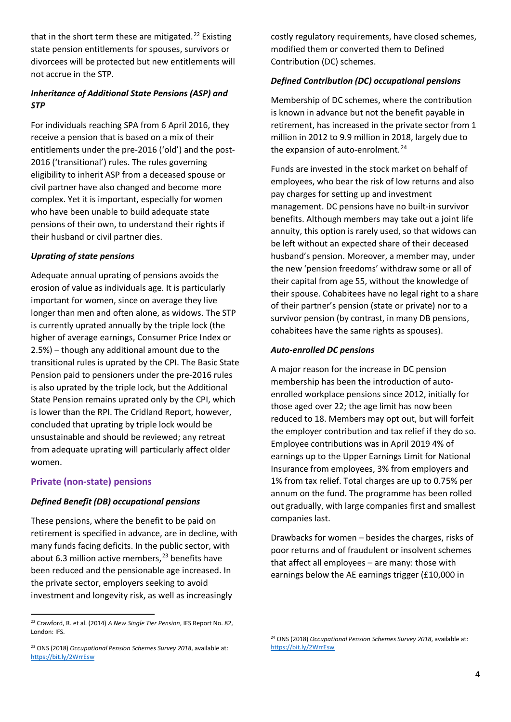that in the short term these are mitigated.<sup>[22](#page-4-0)</sup> Existing state pension entitlements for spouses, survivors or divorcees will be protected but new entitlements will not accrue in the STP.

#### *Inheritance of Additional State Pensions (ASP) and STP*

For individuals reaching SPA from 6 April 2016, they receive a pension that is based on a mix of their entitlements under the pre-2016 ('old') and the post-2016 ('transitional') rules. The rules governing eligibility to inherit ASP from a deceased spouse or civil partner have also changed and become more complex. Yet it is important, especially for women who have been unable to build adequate state pensions of their own, to understand their rights if their husband or civil partner dies.

#### *Uprating of state pensions*

Adequate annual uprating of pensions avoids the erosion of value as individuals age. It is particularly important for women, since on average they live longer than men and often alone, as widows. The STP is currently uprated annually by the triple lock (the higher of average earnings, Consumer Price Index or 2.5%) – though any additional amount due to the transitional rules is uprated by the CPI. The Basic State Pension paid to pensioners under the pre-2016 rules is also uprated by the triple lock, but the Additional State Pension remains uprated only by the CPI, which is lower than the RPI. The Cridland Report, however, concluded that uprating by triple lock would be unsustainable and should be reviewed; any retreat from adequate uprating will particularly affect older women.

#### **Private (non-state) pensions**

#### *Defined Benefit (DB) occupational pensions*

These pensions, where the benefit to be paid on retirement is specified in advance, are in decline, with many funds facing deficits. In the public sector, with about 6.3 million active members, [23](#page-4-1) benefits have been reduced and the pensionable age increased. In the private sector, employers seeking to avoid investment and longevity risk, as well as increasingly

costly regulatory requirements, have closed schemes, modified them or converted them to Defined Contribution (DC) schemes.

#### *Defined Contribution (DC) occupational pensions*

Membership of DC schemes, where the contribution is known in advance but not the benefit payable in retirement, has increased in the private sector from 1 million in 2012 to 9.9 million in 2018, largely due to the expansion of auto-enrolment. $24$ 

Funds are invested in the stock market on behalf of employees, who bear the risk of low returns and also pay charges for setting up and investment management. DC pensions have no built-in survivor benefits. Although members may take out a joint life annuity, this option is rarely used, so that widows can be left without an expected share of their deceased husband's pension. Moreover, a member may, under the new 'pension freedoms' withdraw some or all of their capital from age 55, without the knowledge of their spouse. Cohabitees have no legal right to a share of their partner's pension (state or private) nor to a survivor pension (by contrast, in many DB pensions, cohabitees have the same rights as spouses).

#### *Auto-enrolled DC pensions*

A major reason for the increase in DC pension membership has been the introduction of autoenrolled workplace pensions since 2012, initially for those aged over 22; the age limit has now been reduced to 18. Members may opt out, but will forfeit the employer contribution and tax relief if they do so. Employee contributions was in April 2019 4% of earnings up to the Upper Earnings Limit for National Insurance from employees, 3% from employers and 1% from tax relief. Total charges are up to 0.75% per annum on the fund. The programme has been rolled out gradually, with large companies first and smallest companies last.

Drawbacks for women – besides the charges, risks of poor returns and of fraudulent or insolvent schemes that affect all employees – are many: those with earnings below the AE earnings trigger (£10,000 in

<span id="page-4-0"></span><sup>22</sup> Crawford, R. et al. (2014) *A New Single Tier Pension*, IFS Report No. 82, London: IFS.

<span id="page-4-2"></span><span id="page-4-1"></span><sup>23</sup> ONS (2018) *Occupational Pension Schemes Survey 2018*, available at: <https://bit.ly/2WrrEsw>

<sup>24</sup> ONS (2018) *Occupational Pension Schemes Survey 2018*, available at: <https://bit.ly/2WrrEsw>